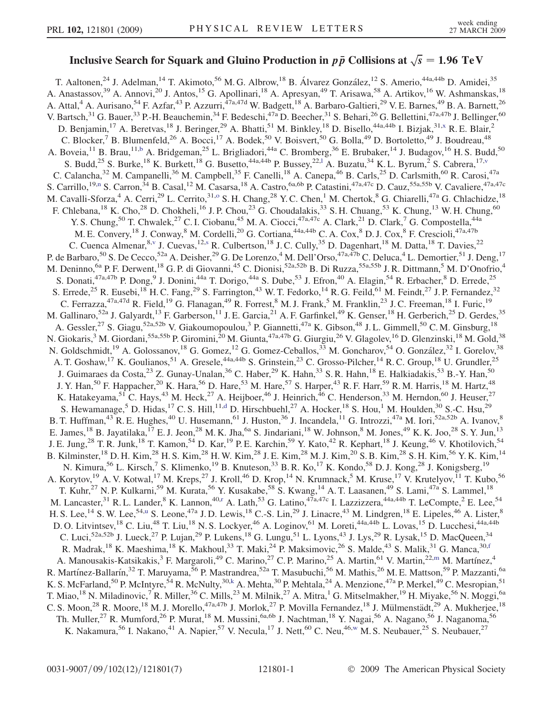## <span id="page-0-0"></span>Inclusive Search for Squark and Gluino Production in  $p\,\bar{p}$  Collisions at  $\sqrt{s} = 1.96\;\mathrm{TeV}$

T. Aaltonen,<sup>24</sup> J. Adelman,<sup>14</sup> T. Akimoto,<sup>56</sup> M. G. Albrow,<sup>18</sup> B. Álvarez González,<sup>12</sup> S. Amerio,<sup>44a,44b</sup> D. Amidei,<sup>35</sup> A. Anastassov,<sup>39</sup> A. Annovi,<sup>20</sup> J. Antos,<sup>15</sup> G. Apollinari,<sup>18</sup> A. Apresyan,<sup>49</sup> T. Arisawa,<sup>58</sup> A. Artikov,<sup>16</sup> W. Ashmanskas,<sup>18</sup> A. Attal,<sup>4</sup> A. Aurisano,<sup>54</sup> F. Azfar,<sup>43</sup> P. Azzurri,<sup>47a,47d</sup> W. Badgett,<sup>18</sup> A. Barbaro-Galtieri,<sup>29</sup> V. E. Barnes,<sup>49</sup> B. A. Barnett,<sup>26</sup> V. Bartsch,<sup>31</sup> G. Bauer,<sup>33</sup> P.-H. Beauchemin,<sup>34</sup> F. Bedeschi,<sup>47a</sup> D. Beecher,<sup>31</sup> S. Behari,<sup>26</sup> G. Bellettini,<sup>47a,47b</sup> J. Bellinger,<sup>60</sup> D. Benjamin,<sup>17</sup> A. Beretvas,<sup>18</sup> J. Beringer,<sup>29</sup> A. Bhatti,<sup>51</sup> M. Binkley,<sup>18</sup> D. Bisello,<sup>44a,44b</sup> I. Bizjak,<sup>31[,x](#page-6-0)</sup> R. E. Blair,<sup>2</sup> C. Blocker,<sup>7</sup> B. Blumenfeld,<sup>26</sup> A. Bocci,<sup>17</sup> A. Bodek,<sup>50</sup> V. Boisvert,<sup>50</sup> G. Bolla,<sup>49</sup> D. Bortoletto,<sup>49</sup> J. Boudreau,<sup>48</sup> A. Boveia,<sup>11</sup> B. Brau,<sup>11[,b](#page-6-0)</sup> A. Bridgeman,<sup>25</sup> L. Brigliadori,<sup>44a</sup> C. Bromberg,<sup>36</sup> E. Brubaker,<sup>14</sup> J. Budagov,<sup>16</sup> H. S. Budd,<sup>50</sup> S. Budd,<sup>25</sup> S. Burke,<sup>18</sup> K. Burkett,<sup>18</sup> G. Busetto,<sup>44a,44b</sup> P. Bussey,<sup>22,1</sup> A. Buzatu,<sup>34</sup> K. L. Byrum,<sup>2</sup> S. Cabrera,<sup>17,[v](#page-6-0)</sup> C. Calancha,<sup>32</sup> M. Campanelli,<sup>36</sup> M. Campbell,<sup>35</sup> F. Canelli,<sup>18</sup> A. Canepa,<sup>46</sup> B. Carls,<sup>25</sup> D. Carlsmith,<sup>60</sup> R. Carosi,<sup>47a</sup> S. Carrillo,<sup>19[,n](#page-6-0)</sup> S. Carron,<sup>34</sup> B. Casal,<sup>12</sup> M. Casarsa,<sup>18</sup> A. Castro,<sup>6a,6b</sup> P. Catastini,<sup>47a,47c</sup> D. Cauz,<sup>55a,55b</sup> V. Cavaliere,<sup>47a,47c</sup> M. Cavalli-Sforza,<sup>4</sup> A. Cerri,<sup>29</sup> L. Cerrito,<sup>31,0</sup> S. H. Chang,<sup>28</sup> Y. C. Chen,<sup>1</sup> M. Chertok,<sup>8</sup> G. Chiarelli,<sup>47a</sup> G. Chlachidze,<sup>18</sup> F. Chlebana,<sup>18</sup> K. Cho,<sup>28</sup> D. Chokheli,<sup>16</sup> J. P. Chou,<sup>23</sup> G. Choudalakis,<sup>33</sup> S. H. Chuang,<sup>53</sup> K. Chung,<sup>13</sup> W. H. Chung,<sup>60</sup> Y. S. Chung,<sup>50</sup> T. Chwalek,<sup>27</sup> C. I. Ciobanu,<sup>45</sup> M. A. Ciocci,<sup>47a,47c</sup> A. Clark,<sup>21</sup> D. Clark,<sup>7</sup> G. Compostella,<sup>44a</sup> M. E. Convery,<sup>18</sup> J. Conway,<sup>8</sup> M. Cordelli,<sup>20</sup> G. Cortiana,<sup>44a,44b</sup> C. A. Cox,<sup>8</sup> D. J. Cox,<sup>8</sup> F. Crescioli,<sup>47a,47b</sup> C. Cuenca Almenar,<sup>8,[v](#page-6-0)</sup> J. Cuevas,<sup>12[,s](#page-6-0)</sup> R. Culbertson,<sup>18</sup> J. C. Cully,<sup>35</sup> D. Dagenhart,<sup>18</sup> M. Datta,<sup>18</sup> T. Davies,<sup>22</sup> P. de Barbaro,<sup>50</sup> S. De Cecco,<sup>52a</sup> A. Deisher,<sup>29</sup> G. De Lorenzo,<sup>4</sup> M. Dell'Orso,<sup>47a,47b</sup> C. Deluca,<sup>4</sup> L. Demortier,<sup>51</sup> J. Deng,<sup>17</sup> M. Deninno, <sup>6a</sup> P. F. Derwent, <sup>18</sup> G. P. di Giovanni, <sup>45</sup> C. Dionisi, <sup>52a, 52b</sup> B. Di Ruzza, <sup>55a, 55b</sup> J. R. Dittmann, <sup>5</sup> M. D'Onofrio, <sup>4</sup> S. Donati,<sup>47a,47b</sup> P. Dong,<sup>9</sup> J. Donini,<sup>44a</sup> T. Dorigo,<sup>44a</sup> S. Dube,<sup>53</sup> J. Efron,<sup>40</sup> A. Elagin,<sup>54</sup> R. Erbacher,<sup>8</sup> D. Errede,<sup>25</sup> S. Errede,<sup>25</sup> R. Eusebi,<sup>18</sup> H. C. Fang,<sup>29</sup> S. Farrington,<sup>43</sup> W. T. Fedorko,<sup>14</sup> R. G. Feild,<sup>61</sup> M. Feindt,<sup>27</sup> J. P. Fernandez,<sup>32</sup> C. Ferrazza,  $47a,47d$  R. Field,  $19$  G. Flanagan,  $49$  R. Forrest,  $8$  M. J. Frank,  $5$  M. Franklin,  $23$  J. C. Freeman,  $18$  I. Furic,  $19$ M. Gallinaro,<sup>52a</sup> J. Galyardt,<sup>13</sup> F. Garberson,<sup>11</sup> J. E. Garcia,<sup>21</sup> A. F. Garfinkel,<sup>49</sup> K. Genser,<sup>18</sup> H. Gerberich,<sup>25</sup> D. Gerdes,<sup>35</sup> A. Gessler,<sup>27</sup> S. Giagu,<sup>52a,52b</sup> V. Giakoumopoulou,<sup>3</sup> P. Giannetti,<sup>47a</sup> K. Gibson,<sup>48</sup> J. L. Gimmell,<sup>50</sup> C. M. Ginsburg,<sup>18</sup> N. Giokaris,<sup>3</sup> M. Giordani,<sup>55a,55b</sup> P. Giromini,<sup>20</sup> M. Giunta,<sup>47a,47b</sup> G. Giurgiu,<sup>26</sup> V. Glagolev,<sup>16</sup> D. Glenzinski,<sup>18</sup> M. Gold,<sup>38</sup> N. Goldschmidt,<sup>19</sup> A. Golossanov,<sup>18</sup> G. Gomez,<sup>12</sup> G. Gomez-Ceballos,<sup>33</sup> M. Goncharov,<sup>54</sup> O. González,<sup>32</sup> I. Gorelov,<sup>38</sup> A. T. Goshaw,<sup>17</sup> K. Goulianos,<sup>51</sup> A. Gresele,<sup>44a,44b</sup> S. Grinstein,<sup>23</sup> C. Grosso-Pilcher,<sup>14</sup> R. C. Group,<sup>18</sup> U. Grundler,<sup>25</sup> J. Guimaraes da Costa,<sup>23</sup> Z. Gunay-Unalan,<sup>36</sup> C. Haber,<sup>29</sup> K. Hahn,<sup>33</sup> S. R. Hahn,<sup>18</sup> E. Halkiadakis,<sup>53</sup> B.-Y. Han,<sup>50</sup> J. Y. Han,<sup>50</sup> F. Happacher,<sup>20</sup> K. Hara,<sup>56</sup> D. Hare,<sup>53</sup> M. Hare,<sup>57</sup> S. Harper,<sup>43</sup> R. F. Harr,<sup>59</sup> R. M. Harris,<sup>18</sup> M. Hartz,<sup>48</sup> K. Hatakeyama,<sup>51</sup> C. Hays,<sup>43</sup> M. Heck,<sup>27</sup> A. Heijboer,<sup>46</sup> J. Heinrich,<sup>46</sup> C. Henderson,<sup>33</sup> M. Herndon,<sup>60</sup> J. Heuser,<sup>27</sup> S. Hewamanage,<sup>5</sup> D. Hi[d](#page-6-0)as,<sup>17</sup> C. S. Hill,<sup>11,d</sup> D. Hirschbuehl,<sup>27</sup> A. Hocker,<sup>18</sup> S. Hou,<sup>1</sup> M. Houlden,<sup>30</sup> S.-C. Hsu,<sup>29</sup> B. T. Huffman,<sup>43</sup> R. E. Hughes,<sup>40</sup> U. Husemann,<sup>61</sup> J. Huston,<sup>36</sup> J. Incandela,<sup>11</sup> G. Introzzi,<sup>47a</sup> M. Iori,<sup>52a,52b</sup> A. Ivanov,<sup>8</sup> E. James, <sup>18</sup> B. Jayatilaka, <sup>17</sup> E. J. Jeon, <sup>28</sup> M. K. Jha, <sup>6a</sup> S. Jindariani, <sup>18</sup> W. Johnson, <sup>8</sup> M. Jones, <sup>49</sup> K. K. Joo, <sup>28</sup> S. Y. Jun, <sup>13</sup> J. E. Jung,<sup>28</sup> T. R. Junk,<sup>18</sup> T. Kamon,<sup>54</sup> D. Kar,<sup>19</sup> P. E. Karchin,<sup>59</sup> Y. Kato,<sup>42</sup> R. Kephart,<sup>18</sup> J. Keung,<sup>46</sup> V. Khotilovich,<sup>54</sup> B. Kilminster,<sup>18</sup> D. H. Kim,<sup>28</sup> H. S. Kim,<sup>28</sup> H. W. Kim,<sup>28</sup> J. E. Kim,<sup>28</sup> M. J. Kim,<sup>20</sup> S. B. Kim,<sup>28</sup> S. H. Kim,<sup>56</sup> Y. K. Kim,<sup>14</sup> N. Kimura,<sup>56</sup> L. Kirsch,<sup>7</sup> S. Klimenko,<sup>19</sup> B. Knuteson,<sup>33</sup> B. R. Ko,<sup>17</sup> K. Kondo,<sup>58</sup> D. J. Kong,<sup>28</sup> J. Konigsberg,<sup>19</sup> A. Korytov,<sup>19</sup> A. V. Kotwal,<sup>17</sup> M. Kreps,<sup>27</sup> J. Kroll,<sup>46</sup> D. Krop,<sup>14</sup> N. Krumnack,<sup>5</sup> M. Kruse,<sup>17</sup> V. Krutelyov,<sup>11</sup> T. Kubo,<sup>56</sup> T. Kuhr,<sup>27</sup> N. P. Kulkarni,<sup>59</sup> M. Kurata,<sup>56</sup> Y. Kusakabe,<sup>58</sup> S. Kwang,<sup>14</sup> A. T. Laasanen,<sup>49</sup> S. Lami,<sup>47a</sup> S. Lammel,<sup>18</sup> M. Lancaste[r](#page-6-0),<sup>31</sup> R. L. Lander,<sup>8</sup> K. Lannon,<sup>40,r</sup> A. Lath,<sup>53</sup> G. Latino,<sup>47a,47c</sup> I. Lazzizzera,<sup>44a,44b</sup> T. LeCompte,<sup>2</sup> E. Lee,<sup>54</sup> H. S. Lee, <sup>14</sup> S. W. Lee, <sup>54[,u](#page-6-0)</sup> S. Leone, <sup>47a</sup> J. D. Lewis, <sup>18</sup> C.-S. Lin, <sup>29</sup> J. Linacre, <sup>43</sup> M. Lindgren, <sup>18</sup> E. Lipeles, <sup>46</sup> A. Lister, <sup>8</sup> D. O. Litvintsev, <sup>18</sup> C. Liu, <sup>48</sup> T. Liu, <sup>18</sup> N. S. Lockyer, <sup>46</sup> A. Loginov, <sup>61</sup> M. Loreti, <sup>44a, 44b</sup> L. Lovas, <sup>15</sup> D. Lucchesi, <sup>44a, 44b</sup> C. Luci,<sup>52a,52b</sup> J. Lueck,<sup>27</sup> P. Lujan,<sup>29</sup> P. Lukens,<sup>18</sup> G. Lungu,<sup>51</sup> L. Lyons,<sup>43</sup> J. Lys,<sup>29</sup> R. Lysak,<sup>15</sup> D. MacQueen,<sup>34</sup> R. Madrak,<sup>18</sup> K. Maeshima,<sup>18</sup> K. Makhoul,<sup>33</sup> T. Maki,<sup>24</sup> P. Maksimovic,<sup>26</sup> S. Malde,<sup>43</sup> S. Malik,<sup>31</sup> G. Manca,<sup>30,[f](#page-6-0)</sup> A. Manousakis-Katsikakis,<sup>3</sup> F. Margaroli,<sup>49</sup> C. Marino,<sup>27</sup> C. P. Marino,<sup>25</sup> A. Martin,<sup>61</sup> V. Martin,<sup>22,[m](#page-6-0)</sup> M. Martínez,<sup>4</sup> R. Martínez-Ballarín,<sup>32</sup> T. Maruyama,<sup>56</sup> P. Mastrandrea,<sup>52a</sup> T. Masubuchi,<sup>56</sup> M. Mathis,<sup>26</sup> M. E. Mattson,<sup>59</sup> P. Mazzanti,<sup>6a</sup> K. S. McFarland,<sup>50</sup> P. McIntyre,<sup>54</sup> R. McNulty,<sup>30,[k](#page-6-0)</sup> A. Mehta,<sup>30</sup> P. Mehtala,<sup>24</sup> A. Menzione,<sup>47a</sup> P. Merkel,<sup>49</sup> C. Mesropian,<sup>51</sup> T. Miao,<sup>18</sup> N. Miladinovic,<sup>7</sup> R. Miller,<sup>36</sup> C. Mills,<sup>23</sup> M. Milnik,<sup>27</sup> A. Mitra,<sup>1</sup> G. Mitselmakher,<sup>19</sup> H. Miyake,<sup>56</sup> N. Moggi,<sup>6a</sup> C. S. Moon,<sup>28</sup> R. Moore,<sup>18</sup> M. J. Morello,<sup>47a,47b</sup> J. Morlok,<sup>27</sup> P. Movilla Fernandez,<sup>18</sup> J. Mülmenstädt,<sup>29</sup> A. Mukherjee,<sup>18</sup> Th. Muller,<sup>27</sup> R. Mumford,<sup>26</sup> P. Murat,<sup>18</sup> M. Mussini,<sup>6a,6b</sup> J. Nachtman,<sup>18</sup> Y. Nagai,<sup>56</sup> A. Nagano,<sup>56</sup> J. Naganoma,<sup>56</sup> K. Nakamura,<sup>56</sup> I. Nakano,<sup>41</sup> A. Napier,<sup>57</sup> V. Necula,<sup>17</sup> J. Nett,<sup>60</sup> C. Neu,<sup>46,[w](#page-6-0)</sup> M. S. Neubauer,<sup>25</sup> S. Neubauer,<sup>27</sup>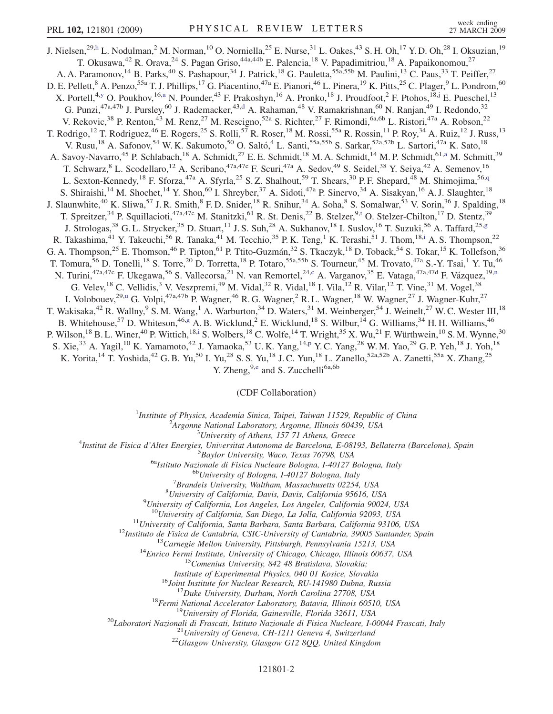<span id="page-1-0"></span>J. Nielsen,<sup>29,[h](#page-6-0)</sup> L. Nodulman,<sup>2</sup> M. Norman,<sup>10</sup> O. Norniella,<sup>25</sup> E. Nurse,<sup>31</sup> L. Oakes,<sup>43</sup> S. H. Oh,<sup>17</sup> Y. D. Oh,<sup>28</sup> I. Oksuzian,<sup>19</sup> T. Okusawa,<sup>42</sup> R. Orava,<sup>24</sup> S. Pagan Griso,<sup>44a,44b</sup> E. Palencia,<sup>18</sup> V. Papadimitriou,<sup>18</sup> A. Papaikonomou,<sup>27</sup> A. A. Paramonov,<sup>14</sup> B. Parks,<sup>40</sup> S. Pashapour,<sup>34</sup> J. Patrick,<sup>18</sup> G. Pauletta,<sup>55a,55b</sup> M. Paulini,<sup>13</sup> C. Paus,<sup>33</sup> T. Peiffer,<sup>27</sup> D. E. Pellett,<sup>8</sup> A. Penzo,<sup>55a</sup> T. J. Phillips,<sup>17</sup> G. Piacentino,<sup>47a</sup> E. Pianori,<sup>46</sup> L. Pinera,<sup>19</sup> K. Pitts,<sup>25</sup> C. Plager,<sup>9</sup> L. Pondrom,<sup>60</sup> X. Portell,<sup>4[,y](#page-6-0)</sup> O. Poukhov,<sup>16[,a](#page-6-0)</sup> N. Pounder,<sup>43</sup> F. Prakoshyn,<sup>16</sup> A. Pronko,<sup>18</sup> J. Proudfoot,<sup>2</sup> F. Ptohos,<sup>18[,j](#page-6-0)</sup> E. Pueschel,<sup>13</sup> G. Punzi,<sup>47a,47b</sup> J. Pursley,<sup>60</sup> J. Rademacker,<sup>43[,d](#page-6-0)</sup> A. Rahaman,<sup>48</sup> V. Ramakrishnan,<sup>60</sup> N. Ranjan,<sup>49</sup> I. Redondo,<sup>32</sup> V. Rekovic,<sup>38</sup> P. Renton,<sup>43</sup> M. Renz,<sup>27</sup> M. Rescigno,<sup>52a</sup> S. Richter,<sup>27</sup> F. Rimondi,<sup>6a,6b</sup> L. Ristori,<sup>47a</sup> A. Robson,<sup>22</sup> T. Rodrigo,<sup>12</sup> T. Rodriguez,<sup>46</sup> E. Rogers,<sup>25</sup> S. Rolli,<sup>57</sup> R. Roser,<sup>18</sup> M. Rossi,<sup>55a</sup> R. Rossin,<sup>11</sup> P. Roy,<sup>34</sup> A. Ruiz,<sup>12</sup> J. Russ,<sup>13</sup> V. Rusu,<sup>18</sup> A. Safonov,<sup>54</sup> W. K. Sakumoto,<sup>50</sup> O. Saltó,<sup>4</sup> L. Santi,<sup>55a,55b</sup> S. Sarkar,<sup>52a,52b</sup> L. Sartori,<sup>47a</sup> K. Sato,<sup>18</sup> A. S[a](#page-6-0)voy-Navarro,<sup>45</sup> P. Schlabach,<sup>18</sup> A. Schmidt,<sup>27</sup> E. E. Schmidt,<sup>18</sup> M. A. Schmidt,<sup>14</sup> M. P. Schmidt,<sup>61,a</sup> M. Schmitt,<sup>39</sup> T. Schwarz, <sup>8</sup> L. Scodellaro, <sup>12</sup> A. Scribano, <sup>47a, 47c</sup> F. Scuri, <sup>47a</sup> A. Sedov, <sup>49</sup> S. Seidel, <sup>38</sup> Y. Seiya, <sup>42</sup> A. Semenov, <sup>16</sup> L. Sexton-Kennedy,<sup>18</sup> F. Sforza,<sup>47a</sup> A. Sfyrla,<sup>25</sup> S. Z. Shalhout,<sup>59</sup> T. Shears,<sup>30</sup> P. F. Shepard,<sup>48</sup> M. Shimojima,<sup>56[,q](#page-6-0)</sup> S. Shiraishi,<sup>14</sup> M. Shochet,<sup>14</sup> Y. Shon,<sup>60</sup> I. Shreyber,<sup>37</sup> A. Sidoti,<sup>47a</sup> P. Sinervo,<sup>34</sup> A. Sisakyan,<sup>16</sup> A. J. Slaughter,<sup>18</sup> J. Slaunwhite,<sup>40</sup> K. Sliwa,<sup>57</sup> J. R. Smith,<sup>8</sup> F. D. Snider,<sup>18</sup> R. Snihur,<sup>34</sup> A. Soha,<sup>8</sup> S. Somalwar,<sup>53</sup> V. Sorin,<sup>36</sup> J. Spalding,<sup>18</sup> T. Spreitzer,<sup>34</sup> P. Squillacioti,<sup>47a,47c</sup> M. Stanitzki,<sup>61</sup> R. St. Denis,<sup>22</sup> B. Stelzer,<sup>9[,t](#page-6-0)</sup> O. Stelzer-Chilton,<sup>17</sup> D. Stentz,<sup>39</sup> J. Strologas,<sup>38</sup> G. L. Strycker,<sup>35</sup> D. Stuart,<sup>11</sup> J. S. Suh,<sup>28</sup> A. Sukhanov,<sup>18</sup> I. Suslov,<sup>16</sup> T. Suzuki,<sup>56</sup> A. Taffard,<sup>25[,g](#page-6-0)</sup> R. Takashima,<sup>41</sup> Y. Takeuchi,<sup>56</sup> R. Tanaka,<sup>41</sup> M. Tecchio,<sup>35</sup> P. K. Teng,<sup>1</sup> K. Terashi,<sup>51</sup> J. Thom,<sup>18[,i](#page-6-0)</sup> A. S. Thompson,<sup>22</sup> G. A. Thompson,<sup>25</sup> E. Thomson,<sup>46</sup> P. Tipton,<sup>61</sup> P. Ttito-Guzmán,<sup>32</sup> S. Tkaczyk,<sup>18</sup> D. Toback,<sup>54</sup> S. Tokar,<sup>15</sup> K. Tollefson,<sup>36</sup> T. Tomura,<sup>56</sup> D. Tonelli,<sup>18</sup> S. Torre,<sup>20</sup> D. Torretta,<sup>18</sup> P. Totaro,<sup>55a,55b</sup> S. Tourneur,<sup>45</sup> M. Trovato,<sup>47a</sup> S.-Y. Tsai,<sup>1</sup> Y. Tu,<sup>46</sup> N. Turini,<sup>47a,47[c](#page-6-0)</sup> F. Ukegawa,<sup>56</sup> S. Vallecorsa,<sup>21</sup> N. van Remortel,<sup>24,c</sup> A. Varganov,<sup>35</sup> E. Vataga,<sup>47a,47d</sup> F. Vázquez,<sup>19[,n](#page-6-0)</sup> G. Velev, <sup>18</sup> C. Vellidis, <sup>3</sup> V. Veszpremi, <sup>49</sup> M. Vidal, <sup>32</sup> R. Vidal, <sup>18</sup> I. Vila, <sup>12</sup> R. Vilar, <sup>12</sup> T. Vine, <sup>31</sup> M. Vogel, <sup>38</sup> I. Volobouev,<sup>29[,u](#page-6-0)</sup> G. Volpi,<sup>47a,47b</sup> P. Wagner,<sup>46</sup> R. G. Wagner,<sup>2</sup> R. L. Wagner,<sup>18</sup> W. Wagner,<sup>27</sup> J. Wagner-Kuhr,<sup>27</sup> T. Wakisaka,<sup>42</sup> R. Wallny,<sup>9</sup> S. M. Wang,<sup>1</sup> A. Warburton,<sup>34</sup> D. Waters,<sup>31</sup> M. Weinberger,<sup>54</sup> J. Weinelt,<sup>27</sup> W. C. Wester III,<sup>18</sup> B. Whitehouse,<sup>57</sup> D. Whiteson,<sup>46[,g](#page-6-0)</sup> A. B. Wicklund,<sup>2</sup> E. Wicklund,<sup>18</sup> S. Wilbur,<sup>14</sup> G. Williams,<sup>34</sup> H. H. Williams,<sup>46</sup> P. Wilson,<sup>18</sup> B. L. Winer,<sup>40</sup> P. Wittich,<sup>18[,i](#page-6-0)</sup> S. Wolbers,<sup>18</sup> C. Wolfe,<sup>14</sup> T. Wright,<sup>35</sup> X. Wu,<sup>21</sup> F. Würthwein,<sup>10</sup> S. M. Wynne,<sup>30</sup> S. Xie,<sup>33</sup> A. Yagil,<sup>10</sup> K. Yamamoto,<sup>42</sup> J. Yamaoka,<sup>53</sup> U.K. Yang,<sup>14[,p](#page-6-0)</sup> Y.C. Yang,<sup>28</sup> W.M. Yao,<sup>29</sup> G.P. Yeh,<sup>18</sup> J. Yoh,<sup>18</sup> K. Yorita,<sup>14</sup> T. Yoshida,<sup>42</sup> G. B. Yu,<sup>50</sup> I. Yu,<sup>28</sup> S. S. Yu,<sup>18</sup> J. C. Yun,<sup>18</sup> L. Zanello,<sup>52a,52b</sup> A. Zanetti,<sup>55a</sup> X. Zhang,<sup>25</sup>

Y. Zh[e](#page-6-0)ng,<sup>9,e</sup> and S. Zucchelli<sup>6a,6b</sup>

(CDF Collaboration)

<sup>1</sup>Institute of Physics, Academia Sinica, Taipei, Taiwan 11529, Republic of China<br><sup>2</sup><sup>4</sup> Engange National Laboratory, Argonne, Illinois 60430, USA

 $A$ rgonne National Laboratory, Argonne, Illinois 60439, USA<br> $3$ University of Athens, 157 71 Athens, Greece

<sup>3</sup>University of Athens, 157 71 Athens, Greece<sup>3</sup> Theories *Lyniversity* of Athens, 157 71 Athens, Greece<sup>4</sup>

Institut de Fisica d'Altes Energies, Universitat Autonoma de Barcelona, E-08193, Bellaterra (Barcelona), Spain <sup>5</sup>

<sup>5</sup>Baylor University, Waco, Texas 76798, USA<br><sup>6a</sup>Istituto Nazionale di Fisica Nucleare Bologna, I-40127 Bologna, Italy<br><sup>6b</sup>University of Bologna, I-40127 Bologna, Italy

 ${}^{7}$ Brandeis University, Waltham, Massachusetts 02254, USA

 ${}^{8}$ University of California, Davis, Davis, California 95616, USA

<sup>9</sup>University of California, Los Angeles, Los Angeles, California 90024, USA<br><sup>10</sup>University of California, San Diego, La Jolla, California 92093, USA

<sup>11</sup>University of California, Santa Barbara, Santa Barbara, California 93106, USA<br><sup>12</sup>Instituto de Fisica de Cantabria, CSIC-University of Cantabria, 39005 Santander, Spain<br><sup>13</sup>Carnegie Mellon University, Pittsburgh, Penn

Institute of Experimental Physics, 040 01 Kosice, Slovakia<br>
<sup>16</sup>Joint Institute for Nuclear Research, RU-141980 Dubna, Russia<br>
<sup>17</sup>Duke University, Durham, North Carolina 27708, USA<br>
<sup>18</sup>Fermi National Accelerator Laborat

## 121801-2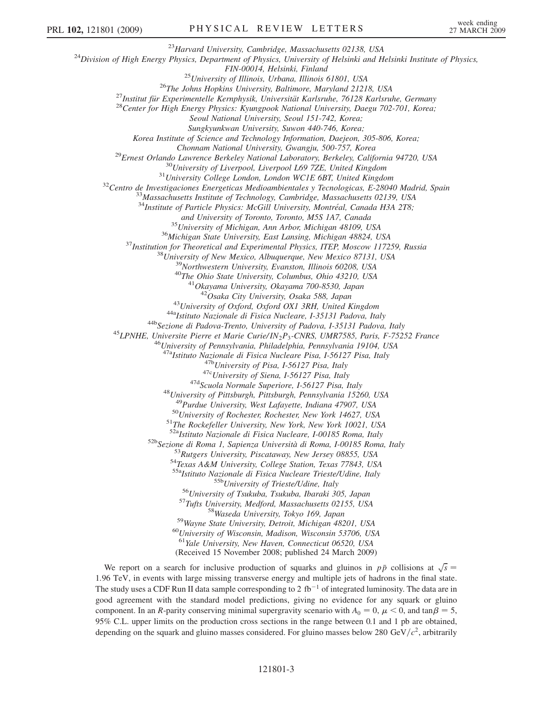<sup>23</sup>Harvard University, Cambridge, Massachusetts 02138, USA<br><sup>24</sup>Division of High Energy Physics, Department of Physics, University of Helsinki and Helsinki Institute of Physics,

FIN-00014, Helsinki, Finland<br><sup>25</sup>University of Illinois, Urbana, Illinois 61801, USA<br><sup>26</sup>The Johns Hopkins University, Baltimore, Maryland 21218, USA<br><sup>27</sup>Institut für Experimentelle Kernphysik, Universität Karlsruhe, 76128

Seoul National University, Seoul 151-742, Korea;

Sungkyunkwan University, Suwon 440-746, Korea;

Korea Institute of Science and Technology Information, Daejeon, 305-806, Korea;

Chonnam National University, Gwangju, 500-757, Korea<br><sup>29</sup>Ernest Orlando Lawrence Berkeley National Laboratory, Berkeley, California 94720, USA<br><sup>30</sup>University of Liverpool, Liverpool L69 7ZE, United Kingdom<br><sup>31</sup>University C

 $34$ Institute of Particle Physics: McGill University, Montréal, Canada H3A 2T8;

and University of Toronto, Toronto, M5S 1A7, Canada<br><sup>35</sup>University of Michigan, Ann Arbor, Michigan 48109, USA<br><sup>36</sup>Michigan State University, East Lansing, Michigan 48824, USA<br><sup>37</sup>Institution for Theoretical and Experiment

<sup>43</sup>University of Oxford, Oxford OX1 3RH, United Kingdom<br><sup>44a</sup>Istituto Nazionale di Fisica Nucleare, I-35131 Padova, Italy<br><sup>44b</sup>Sezione di Padova-Trento, University of Padova, I-35131 Padova, Italy<br><sup>45</sup>LPNHE, Universite P

<sup>47a</sup>Istituto Nazionale di Fisica Nucleare Pisa, I-56127 Pisa, Italy<br><sup>47b</sup>University of Pisa, I-56127 Pisa, Italy<br><sup>47c</sup>University of Siena, I-56127 Pisa, Italy<br><sup>47d</sup>Scuola Normale Superiore, I-56127 Pisa, Italy<br><sup>48</sup>Univer

 $^{50}$ University of Rochester, Rochester, New York 14627, USA  $^{51}$ The Rockefeller University, New York, New York 10021, USA  $^{52}$ <sub>4</sub>Istituto Nazionale di Fisica Nucleare, 1-00185 Roma, Italy

<sup>52b</sup>Sezione di Roma 1, Sapienza Università di Roma, I-00185 Roma, Italy<br><sup>53</sup>Rutgers University, Piscataway, New Jersey 08855, USA<br><sup>54</sup>Texas A&M University, College Station, Texas 77843, USA<br><sup>55a</sup>Istituto Nazionale di Fis

<sup>55b</sup>University of Trieste/Udine, Italy<br><sup>56</sup>University of Tsukuba, Tsukuba, Ibaraki 305, Japan<br><sup>57</sup>Tufts University, Medford, Massachusetts 02155, USA<br><sup>58</sup>Wayne State University, Detroit, Michigan 48201, USA<br><sup>60</sup>Universit

<sup>61</sup>Yale University, New Haven, Connecticut 06520, USA

(Received 15 November 2008; published 24 March 2009)

We report on a search for inclusive production of squarks and gluinos in  $p\bar{p}$  collisions at  $\sqrt{s}$  = 06 TeV in events with large missing transverse energy and multiple jets of hadrons in the final state. 1.96 TeV, in events with large missing transverse energy and multiple jets of hadrons in the final state. The study uses a CDF Run II data sample corresponding to 2 fb<sup>-1</sup> of integrated luminosity. The data are in good agreement with the standard model predictions, giving no evidence for any squark or gluino component. In an R-parity conserving minimal supergravity scenario with  $A_0 = 0$ ,  $\mu < 0$ , and  $\tan \beta = 5$ ,  $0.5\%$  C I, upper limits on the production cross sections in the range between 0.1 and 1 nb are obtained 95% C.L. upper limits on the production cross sections in the range between 0.1 and 1 pb are obtained, depending on the squark and gluino masses considered. For gluino masses below 280 GeV/ $c^2$ , arbitrarily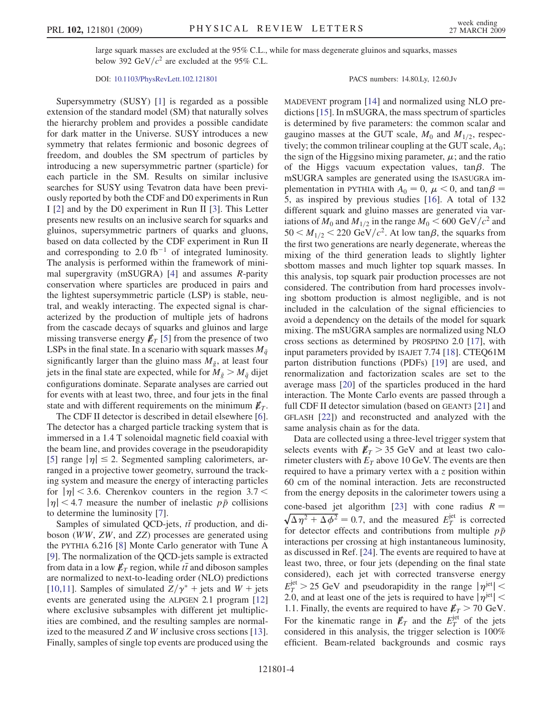large squark masses are excluded at the 95% C.L., while for mass degenerate gluinos and squarks, masses below 392 GeV/ $c^2$  are excluded at the 95% C.L.

DOI: [10.1103/PhysRevLett.102.121801](http://dx.doi.org/10.1103/PhysRevLett.102.121801) PACS numbers: 14.80.Ly, 12.60.Jv

Supersymmetry (SUSY) [[1\]](#page-6-0) is regarded as a possible extension of the standard model (SM) that naturally solves the hierarchy problem and provides a possible candidate for dark matter in the Universe. SUSY introduces a new symmetry that relates fermionic and bosonic degrees of freedom, and doubles the SM spectrum of particles by introducing a new supersymmetric partner (sparticle) for each particle in the SM. Results on similar inclusive searches for SUSY using Tevatron data have been previously reported by both the CDF and D0 experiments in Run I [\[2](#page-6-0)] and by the D0 experiment in Run II [\[3](#page-6-0)]. This Letter presents new results on an inclusive search for squarks and gluinos, supersymmetric partners of quarks and gluons, based on data collected by the CDF experiment in Run II and corresponding to 2.0  $fb^{-1}$  of integrated luminosity. The analysis is performed within the framework of minimal supergravity (mSUGRA) [[4\]](#page-6-0) and assumes R-parity conservation where sparticles are produced in pairs and the lightest supersymmetric particle (LSP) is stable, neutral, and weakly interacting. The expected signal is characterized by the production of multiple jets of hadrons from the cascade decays of squarks and gluinos and large missing transverse energy  $E_T$  [\[5](#page-6-0)] from the presence of two LSPs in the final state. In a scenario with squark masses  $M_{\tilde{q}}$ significantly larger than the gluino mass  $M_{\tilde{g}}$ , at least four jets in the final state are expected, while for  $M_{\tilde{g}} > M_{\tilde{g}}$  dijet configurations dominate. Separate analyses are carried out for events with at least two, three, and four jets in the final state and with different requirements on the minimum  $\not\hspace{-.15cm}/_{T}$ .

The CDF II detector is described in detail elsewhere [[6\]](#page-6-0). The detector has a charged particle tracking system that is immersed in a 1.4 T solenoidal magnetic field coaxial with the beam line, and provides coverage in the pseudorapidity [\[5\]](#page-6-0) range  $|\eta| \le 2$ . Segmented sampling calorimeters, arranged in a projective tower geometry surround the trackranged in a projective tower geometry, surround the tracking system and measure the energy of interacting particles for  $|\eta|$  < 3.6. Cherenkov counters in the region 3.7 <  $|\eta|$  < 4.7 measure the number of inelastic  $p\bar{p}$  collisions to determine the luminosity [\[7\]](#page-6-0).

Samples of simulated QCD-jets,  $t\bar{t}$  production, and discon  $(WW ZW)$  and  $ZZ$ ) processes are generated using boson (WW, ZW, and ZZ) processes are generated using the PYTHIA 6.216 [\[8\]](#page-6-0) Monte Carlo generator with Tune A [\[9\]](#page-6-0). The normalization of the QCD-jets sample is extracted from data in a low  $\not{E}_T$  region, while  $t\bar{t}$  and diboson samples<br>are normalized to next-to-leading order (NI O) predictions are normalized to next-to-leading order (NLO) predictions [\[10,11\]](#page-6-0). Samples of simulated  $Z/\gamma^*$  + jets and W + jets events are generated using the ALPGEN 2.1 program [\[12\]](#page-6-0) where exclusive subsamples with different jet multiplicities are combined, and the resulting samples are normalized to the measured Z and W inclusive cross sections [[13\]](#page-6-0). Finally, samples of single top events are produced using the

MADEVENT program [\[14\]](#page-6-0) and normalized using NLO predictions [[15](#page-6-0)]. In mSUGRA, the mass spectrum of sparticles is determined by five parameters: the common scalar and gaugino masses at the GUT scale,  $M_0$  and  $M_{1/2}$ , respectively; the common trilinear coupling at the GUT scale,  $A_0$ ; the sign of the Higgsino mixing parameter,  $\mu$ ; and the ratio of the Higgs vacuum expectation values,  $tan\beta$ . The mSUGRA samples are generated using the ISASUGRA immSUGRA samples are generated using the ISASUGRA implementation in PYTHIA with  $A_0 = 0$ ,  $\mu < 0$ , and  $\tan \beta = 5$  as inspired by previous studies [16]. A total of 132 5, as inspired by previous studies [\[16\]](#page-6-0). A total of 132 different squark and gluino masses are generated via variations of  $M_0$  and  $M_{1/2}$  in the range  $M_0 < 600 \text{ GeV}/c^2$  and  $50 < M_{1/2} < 220 \text{ GeV}/c^2$ . At low tan $\beta$ , the squarks from the first two generations are nearly degenerate, whereas the the first two generations are nearly degenerate, whereas the mixing of the third generation leads to slightly lighter sbottom masses and much lighter top squark masses. In this analysis, top squark pair production processes are not considered. The contribution from hard processes involving sbottom production is almost negligible, and is not included in the calculation of the signal efficiencies to avoid a dependency on the details of the model for squark mixing. The mSUGRA samples are normalized using NLO cross sections as determined by PROSPINO 2.0 [[17](#page-6-0)], with input parameters provided by ISAJET 7.74 [[18](#page-6-0)]. CTEQ61M parton distribution functions (PDFs) [[19](#page-6-0)] are used, and renormalization and factorization scales are set to the average mass [\[20\]](#page-6-0) of the sparticles produced in the hard interaction. The Monte Carlo events are passed through a full CDF II detector simulation (based on GEANT3 [\[21\]](#page-6-0) and GFLASH [[22](#page-6-0)]) and reconstructed and analyzed with the same analysis chain as for the data.

Data are collected using a three-level trigger system that selects events with  $E_T > 35$  GeV and at least two calorimeter clusters with  $E_T$  above 10 GeV. The events are then required to have a primary vertex with a z position within 60 cm of the nominal interaction. Jets are reconstructed from the energy deposits in the calorimeter towers using a cone-based jet algorithm [[23](#page-6-0)] with cone radius  $R = \sqrt{\Delta \eta^2 + \Delta \phi^2} = 0.7$ , and the measured  $E_T^{\text{jet}}$  is corrected for detector effects and contributions from multiple  $n\bar{n}$ for detector effects and contributions from multiple  $p\bar{p}$ interactions per crossing at high instantaneous luminosity, as discussed in Ref. [\[24](#page-6-0)]. The events are required to have at least two, three, or four jets (depending on the final state considered), each jet with corrected transverse energy  $E_T^{\text{jet}} > 25 \text{ GeV}$  and pseudorapidity in the range  $|\eta^{\text{jet}}| <$ <br>2.0 and at least one of the jets is required to have  $|\eta^{\text{jet}}| <$ 2.0, and at least one of the jets is required to have  $|\eta^{\text{jet}}|$  < 1.1. Finally, the events are required to have  $E_T > 70$  GeV. For the kinematic range in  $\not\!\!E_T$  and the  $E_T^{\text{jet}}$  of the jets<br>considered in this analysis the trigger selection is 100% considered in this analysis, the trigger selection is 100% efficient. Beam-related backgrounds and cosmic rays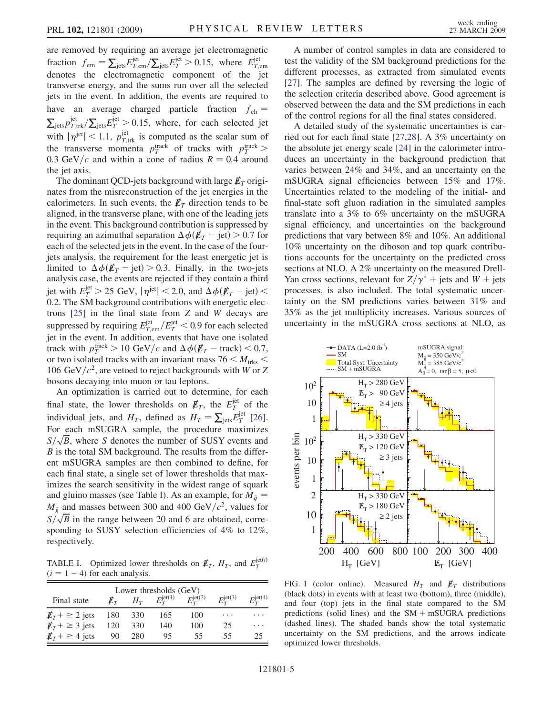<span id="page-4-0"></span>are removed by requiring an average jet electromagnetic fraction  $f_{em} = \sum_{jets} E_{T,em}^{jet} / \sum_{jets} E_T^{jet} > 0.15$ , where  $E_{T,em}^{jet}$  denotes the electromagnetic component of the jet transverse energy, and the sums run over all the selected jets in the event. In addition, the events are required to have an average charged particle fraction  $f_{ch} = \sum_{i \in \mathcal{S}} p_{T \text{ trk}}^{\text{jet}} / \sum_{i \in \mathcal{S}} E_T^{\text{jet}} > 0.15$ , where, for each selected jet  $p_{T,\text{trk}}^{\text{jet}} / \sum_{\text{jets}} E_T^{\text{jet}} > 0.15$ , where, for each selected jet  $\sum_{j \text{ets}} P_{T,\text{trk}} / \sum_{j \text{ets}} E_T > 0.15$ , where, for each selected jet<br>with  $|\eta^{\text{jet}}| < 1.1$ ,  $p_{T,\text{trk}}^{\text{jet}}$  is computed as the scalar sum of the transverse momenta  $p_T^{\text{track}}$  of tracks with  $p_T^{\text{track}}$ <br>0.3 GeV/c and within a cone of radius  $R = 0.4$  arous 0.3 GeV/c and within a cone of radius  $R = 0.4$  around<br>the jet axis the jet axis.

The dominant QCD-jets background with large  $\not\hspace{-1.2mm}E_{T}$  originates from the misreconstruction of the jet energies in the calorimeters. In such events, the  $\not\!\vec{E}_T$  direction tends to be aligned, in the transverse plane, with one of the leading jets in the event. This background contribution is suppressed by requiring an azimuthal separation  $\Delta \phi(\cancel{E}_T - \text{jet}) > 0.7$  for each of the selected jets in the event. In the case of the foureach of the selected jets in the event. In the case of the fourjets analysis, the requirement for the least energetic jet is limited to  $\Delta \phi (E_T - \text{jet}) > 0.3$ . Finally, in the two-jets analysis case the events are rejected if they contain a third analysis case, the events are rejected if they contain a third jet with  $E_T^{\text{jet}} > 25 \text{ GeV}, |\eta^{\text{jet}}| < 2.0$ , and  $\Delta \phi(\vec{\mathbf{E}}_T - \text{jet}) < 0.2$  The SM background contributions with energetic elec-<sup>0</sup>:2. The SM background contributions with energetic electrons [\[25\]](#page-6-0) in the final state from Z and W decays are suppressed by requiring  $E_{T,em}^{jet}/E_{T}^{jet} < 0.9$  for each selected<br>ist in the event. In addition, events that have one isolated jet in the event. In addition, events that have one isolated track with  $p_T^{\text{track}} > 10 \text{ GeV}/c$  and  $\Delta \phi(\mathbf{E}_T - \text{track}) < 0.7$ , or two isolated tracks with an invariant mass 76  $\lt M$ . or two isolated tracks with an invariant mass 76  $\leq M_{\text{trks}}$   $\leq$ 106 GeV/ $c^2$ , are vetoed to reject backgrounds with W or Z bosons decaying into muon or tau leptons.

An optimization is carried out to determine, for each final state, the lower thresholds on  $\not\!\!E_T$ , the  $E_T^{\text{jet}}$  of the individual jate and H defined as  $H = \nabla E_{\text{jet}}^{\text{jet}}$  [261] individual jets, and  $H_T$ , defined as  $H_T = \sum_{j \text{ets}} E_T^{jet}$  [\[26\]](#page-6-0). For each mSUGRA sample, the procedure maximizes  $S/\sqrt{B}$ , where S denotes the number of SUSY events and  $\overline{B}$  is the total SM background. The results from the differ- $B$  is the total SM background. The results from the differ-<br>ent mSHGRA samples are then combined to define for ent mSUGRA samples are then combined to define, for each final state, a single set of lower thresholds that maximizes the search sensitivity in the widest range of squark and gluino masses (see Table I). As an example, for  $M_{\tilde{q}} =$  $M_{\tilde{g}}$  and masses between 300 and 400 GeV/ $c^2$ , values for  $S/\sqrt{B}$  in the range between 20 and 6 are obtained, corresponding to SUSY selection efficiencies of 4% to 12%, respectively.

TABLE I. Optimized lower thresholds on  $\not\hspace{-.1cm}E_T$ ,  $H_T$ , and  $E_T^{\text{jet}(i)}$  $(i = 1 - 4)$  for each analysis.

| Lower thresholds (GeV) |     |       |                       |                           |                    |                       |  |  |
|------------------------|-----|-------|-----------------------|---------------------------|--------------------|-----------------------|--|--|
| Final state            |     | $H_T$ | $E_T^{\text{jet}(1)}$ | $E_{\tau}^{{\rm jet}(2)}$ | $E_T^{\rm jet(3)}$ | $E_T^{\text{jet}(4)}$ |  |  |
| $\n  ET + \geq 2$ jets | 180 | 330   | 165                   | 100                       | .                  | .                     |  |  |
| $\n  ET + \geq 3$ jets | 120 | 330   | 140                   | 100                       | 25                 | .                     |  |  |
| $\n  ET + \geq 4$ jets | 90  | 280   | 95                    | 55                        | 55                 |                       |  |  |

A number of control samples in data are considered to test the validity of the SM background predictions for the different processes, as extracted from simulated events [\[27\]](#page-6-0). The samples are defined by reversing the logic of the selection criteria described above. Good agreement is observed between the data and the SM predictions in each of the control regions for all the final states considered.

A detailed study of the systematic uncertainties is carried out for each final state [[27](#page-6-0),[28](#page-6-0)]. A 3% uncertainty on the absolute jet energy scale [[24](#page-6-0)] in the calorimeter introduces an uncertainty in the background prediction that varies between 24% and 34%, and an uncertainty on the mSUGRA signal efficiencies between 15% and 17%. Uncertainties related to the modeling of the initial- and final-state soft gluon radiation in the simulated samples translate into a 3% to 6% uncertainty on the mSUGRA signal efficiency, and uncertainties on the background predictions that vary between 8% and 10%. An additional 10% uncertainty on the diboson and top quark contributions accounts for the uncertainty on the predicted cross sections at NLO. A 2% uncertainty on the measured Drell-Yan cross sections, relevant for  $Z/\gamma^*$  + jets and W + jets processes, is also included. The total systematic uncertainty on the SM predictions varies between 31% and 35% as the jet multiplicity increases. Various sources of uncertainty in the mSUGRA cross sections at NLO, as



FIG. 1 (color online). Measured  $H_T$  and  $\not\hspace{-.15cm}/\,$  distributions (black dots) in events with at least two (bottom), three (middle), and four (top) jets in the final state compared to the SM predictions (solid lines) and the  $SM + mSUGRA$  predictions (dashed lines). The shaded bands show the total systematic uncertainty on the SM predictions, and the arrows indicate optimized lower thresholds.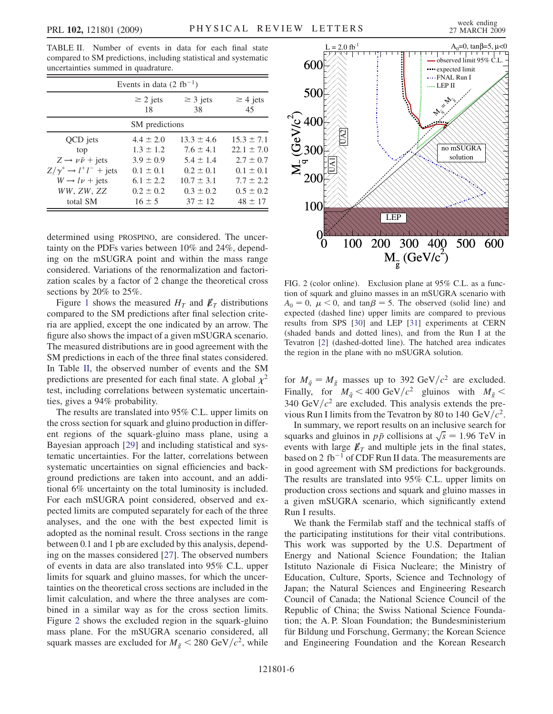TABLE II. Number of events in data for each final state compared to SM predictions, including statistical and systematic uncertainties summed in quadrature.

| Events in data $(2 \text{ fb}^{-1})$   |                     |                     |                     |  |  |  |  |
|----------------------------------------|---------------------|---------------------|---------------------|--|--|--|--|
|                                        | $\geq$ 2 jets<br>18 | $\geq$ 3 jets<br>38 | $\geq$ 4 jets<br>45 |  |  |  |  |
| SM predictions                         |                     |                     |                     |  |  |  |  |
| QCD jets                               | $4.4 \pm 2.0$       | $13.3 \pm 4.6$      | $15.3 \pm 7.1$      |  |  |  |  |
| top                                    | $1.3 \pm 1.2$       | $7.6 \pm 4.1$       | $22.1 \pm 7.0$      |  |  |  |  |
| $Z \rightarrow \nu \bar{\nu}$ + jets   | $3.9 \pm 0.9$       | $5.4 \pm 1.4$       | $2.7 \pm 0.7$       |  |  |  |  |
| $Z/\gamma^* \rightarrow l^+l^-$ + jets | $0.1 \pm 0.1$       | $0.2 + 0.1$         | $0.1 + 0.1$         |  |  |  |  |
| $W \rightarrow l\nu$ + jets            | $6.1 \pm 2.2$       | $10.7 \pm 3.1$      | $7.7 \pm 2.2$       |  |  |  |  |
| WW, ZW, ZZ                             | $0.2 \pm 0.2$       | $0.3 \pm 0.2$       | $0.5 \pm 0.2$       |  |  |  |  |
| total SM                               | $16 \pm 5$          | $37 \pm 12$         | $48 \pm 17$         |  |  |  |  |

determined using PROSPINO, are considered. The uncertainty on the PDFs varies between 10% and 24%, depending on the mSUGRA point and within the mass range considered. Variations of the renormalization and factorization scales by a factor of 2 change the theoretical cross sections by 20% to 25%.

Figure [1](#page-4-0) shows the measured  $H_T$  and  $\not\hspace{-.15cm}/\,$  distributions compared to the SM predictions after final selection criteria are applied, except the one indicated by an arrow. The figure also shows the impact of a given mSUGRA scenario. The measured distributions are in good agreement with the SM predictions in each of the three final states considered. In Table II, the observed number of events and the SM predictions are presented for each final state. A global  $\chi^2$ test, including correlations between systematic uncertainties, gives a 94% probability.

The results are translated into 95% C.L. upper limits on the cross section for squark and gluino production in different regions of the squark-gluino mass plane, using a Bayesian approach [\[29\]](#page-6-0) and including statistical and systematic uncertainties. For the latter, correlations between systematic uncertainties on signal efficiencies and background predictions are taken into account, and an additional 6% uncertainty on the total luminosity is included. For each mSUGRA point considered, observed and expected limits are computed separately for each of the three analyses, and the one with the best expected limit is adopted as the nominal result. Cross sections in the range between 0.1 and 1 pb are excluded by this analysis, depending on the masses considered [[27](#page-6-0)]. The observed numbers of events in data are also translated into 95% C.L. upper limits for squark and gluino masses, for which the uncertainties on the theoretical cross sections are included in the limit calculation, and where the three analyses are combined in a similar way as for the cross section limits. Figure 2 shows the excluded region in the squark-gluino mass plane. For the mSUGRA scenario considered, all squark masses are excluded for  $M_{\tilde{g}} < 280 \text{ GeV}/c^2$ , while



FIG. 2 (color online). Exclusion plane at 95% C.L. as a function of squark and gluino masses in an mSUGRA scenario with  $A_0 = 0$ ,  $\mu < 0$ , and  $\tan \beta = 5$ . The observed (solid line) and expected (dashed line) upper limits are compared to previous expected (dashed line) upper limits are compared to previous results from SPS [\[30\]](#page-6-0) and LEP [[31](#page-6-0)] experiments at CERN (shaded bands and dotted lines), and from the Run I at the Tevatron [[2\]](#page-6-0) (dashed-dotted line). The hatched area indicates the region in the plane with no mSUGRA solution.

for  $M_{\tilde{q}} = M_{\tilde{g}}$  masses up to 392 GeV/ $c^2$  are excluded.<br>Finally for  $M_{\tilde{g}} < 400$  GeV/ $c^2$  gluinos with  $M_{\tilde{g}} <$ Finally, for  $M_{\tilde{q}} < 400 \text{ GeV}/c^2$  gluinos with  $M_{\tilde{g}} < 340 \text{ GeV}/c^2$  are excluded. This analysis extends the pre-340 GeV/ $c^2$  are excluded. This analysis extends the previous Run I limits from the Tevatron by 80 to 140 GeV/ $c^2$ .

In summary, we report results on an inclusive search for squarks and gluinos in  $p\bar{p}$  collisions at  $\sqrt{s} = 1.96$  TeV in<br>events with large  $\vec{k}_m$  and multiple jets in the final states such that the general  $\mathbb{F}_F$  is considered in the final states,<br>based on 2 fb<sup>-1</sup> of CDF Run II data. The measurements are based on 2 fb<sup>-1</sup> of CDF Run II data. The measurements are in good agreement with SM predictions for backgrounds. The results are translated into 95% C.L. upper limits on production cross sections and squark and gluino masses in a given mSUGRA scenario, which significantly extend Run I results.

We thank the Fermilab staff and the technical staffs of the participating institutions for their vital contributions. This work was supported by the U.S. Department of Energy and National Science Foundation; the Italian Istituto Nazionale di Fisica Nucleare; the Ministry of Education, Culture, Sports, Science and Technology of Japan; the Natural Sciences and Engineering Research Council of Canada; the National Science Council of the Republic of China; the Swiss National Science Foundation; the A. P. Sloan Foundation; the Bundesministerium für Bildung und Forschung, Germany; the Korean Science and Engineering Foundation and the Korean Research